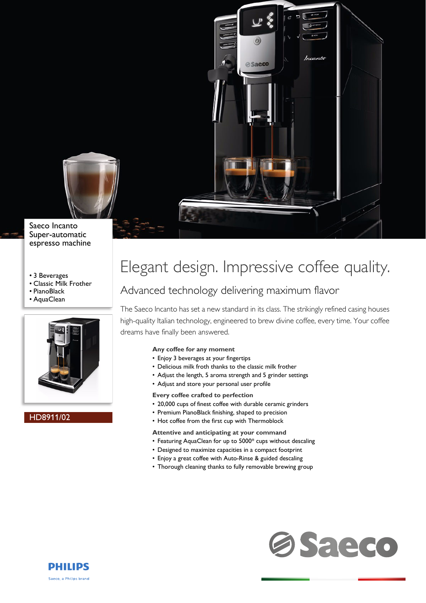

# Saeco Incanto Super-automatic espresso machine

- 3 Beverages
- Classic Milk Frother
- PianoBlack
- AquaClean



# HD8911/02



Incanto

# Elegant design. Impressive coffee quality.

**Saeco** 

# Advanced technology delivering maximum flavor

The Saeco Incanto has set a new standard in its class. The strikingly refined casing houses high-quality Italian technology, engineered to brew divine coffee, every time. Your coffee dreams have finally been answered.

# **Any coffee for any moment**

- Enjoy 3 beverages at your fingertips
- Delicious milk froth thanks to the classic milk frother
- Adjust the length, 5 aroma strength and 5 grinder settings
- Adjust and store your personal user profile

### **Every coffee crafted to perfection**

- 20,000 cups of finest coffee with durable ceramic grinders
- Premium PianoBlack finishing, shaped to precision
- Hot coffee from the first cup with Thermoblock

#### **Attentive and anticipating at your command**

- Featuring AquaClean for up to 5000\* cups without descaling
- Designed to maximize capacities in a compact footprint
- Enjoy a great coffee with Auto-Rinse & guided descaling
- Thorough cleaning thanks to fully removable brewing group



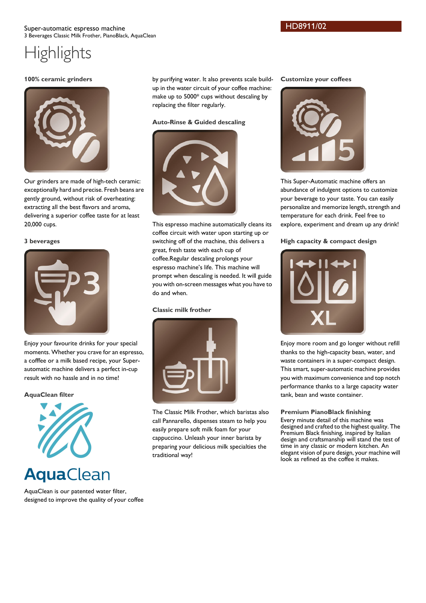# HD8911/02

# **Highlights**

### **100% ceramic grinders**



Our grinders are made of high-tech ceramic: exceptionally hard and precise. Fresh beans are gently ground, without risk of overheating: extracting all the best flavors and aroma, delivering a superior coffee taste for at least 20,000 cups.

### **3 beverages**



Enjoy your favourite drinks for your special moments. Whether you crave for an espresso, a cofffee or a milk based recipe, your Superautomatic machine delivers a perfect in-cup result with no hassle and in no time!

# **AquaClean filter**



# **AquaClean**

AquaClean is our patented water filter, designed to improve the quality of your coffee by purifying water. It also prevents scale buildup in the water circuit of your coffee machine: make up to 5000\* cups without descaling by replacing the filter regularly.

# **Auto-Rinse & Guided descaling**



This espresso machine automatically cleans its coffee circuit with water upon starting up or switching off of the machine, this delivers a great, fresh taste with each cup of coffee.Regular descaling prolongs your espresso machine's life. This machine will prompt when descaling is needed. It will guide you with on-screen messages what you have to do and when.

# **Classic milk frother**



The Classic Milk Frother, which baristas also call Pannarello, dispenses steam to help you easily prepare soft milk foam for your cappuccino. Unleash your inner barista by preparing your delicious milk specialties the traditional way!

#### **Customize your coffees**



This Super-Automatic machine offers an abundance of indulgent options to customize your beverage to your taste. You can easily personalize and memorize length, strength and temperature for each drink. Feel free to explore, experiment and dream up any drink!

# **High capacity & compact design**



Enjoy more room and go longer without refill thanks to the high-capacity bean, water, and waste containers in a super-compact design. This smart, super-automatic machine provides you with maximum convenience and top notch performance thanks to a large capacity water tank, bean and waste container.

### **Premium PianoBlack finishing**

Every minute detail of this machine was designed and crafted to the highest quality. The Premium Black finishing, inspired by Italian design and craftsmanship will stand the test of time in any classic or modern kitchen. An elegant vision of pure design, your machine will look as refined as the coffee it makes.